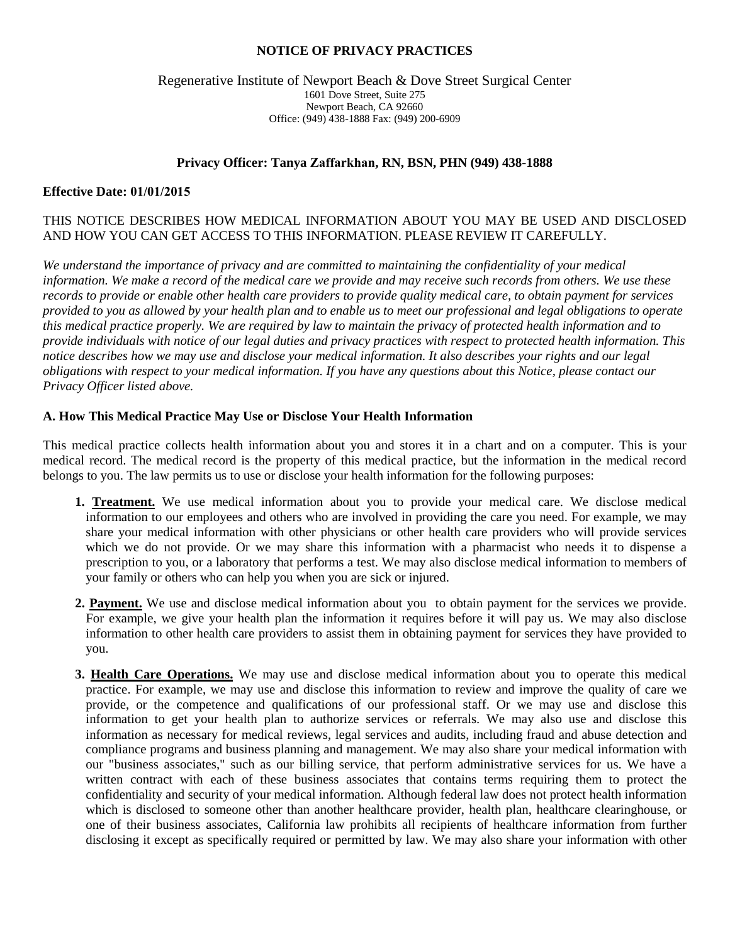#### **NOTICE OF PRIVACY PRACTICES**

#### Regenerative Institute of Newport Beach & Dove Street Surgical Center 1601 Dove Street, Suite 275 Newport Beach, CA 92660 Office: (949) 438-1888 Fax: (949) 200-6909

## **Privacy Officer: Tanya Zaffarkhan, RN, BSN, PHN (949) 438-1888**

#### **Effective Date: 01/01/2015**

# THIS NOTICE DESCRIBES HOW MEDICAL INFORMATION ABOUT YOU MAY BE USED AND DISCLOSED AND HOW YOU CAN GET ACCESS TO THIS INFORMATION. PLEASE REVIEW IT CAREFULLY.

*We understand the importance of privacy and are committed to maintaining the confidentiality of your medical information. We make a record of the medical care we provide and may receive such records from others. We use these records to provide or enable other health care providers to provide quality medical care, to obtain payment for services provided to you as allowed by your health plan and to enable us to meet our professional and legal obligations to operate this medical practice properly. We are required by law to maintain the privacy of protected health information and to provide individuals with notice of our legal duties and privacy practices with respect to protected health information. This notice describes how we may use and disclose your medical information. It also describes your rights and our legal obligations with respect to your medical information. If you have any questions about this Notice, please contact our Privacy Officer listed above.*

## **A. How This Medical Practice May Use or Disclose Your Health Information**

This medical practice collects health information about you and stores it in a chart and on a computer. This is your medical record. The medical record is the property of this medical practice, but the information in the medical record belongs to you. The law permits us to use or disclose your health information for the following purposes:

- **1. Treatment.** We use medical information about you to provide your medical care. We disclose medical information to our employees and others who are involved in providing the care you need. For example, we may share your medical information with other physicians or other health care providers who will provide services which we do not provide. Or we may share this information with a pharmacist who needs it to dispense a prescription to you, or a laboratory that performs a test. We may also disclose medical information to members of your family or others who can help you when you are sick or injured.
- **2. Payment.** We use and disclose medical information about you to obtain payment for the services we provide. For example, we give your health plan the information it requires before it will pay us. We may also disclose information to other health care providers to assist them in obtaining payment for services they have provided to you.
- **3. Health Care Operations.** We may use and disclose medical information about you to operate this medical practice. For example, we may use and disclose this information to review and improve the quality of care we provide, or the competence and qualifications of our professional staff. Or we may use and disclose this information to get your health plan to authorize services or referrals. We may also use and disclose this information as necessary for medical reviews, legal services and audits, including fraud and abuse detection and compliance programs and business planning and management. We may also share your medical information with our "business associates," such as our billing service, that perform administrative services for us. We have a written contract with each of these business associates that contains terms requiring them to protect the confidentiality and security of your medical information. Although federal law does not protect health information which is disclosed to someone other than another healthcare provider, health plan, healthcare clearinghouse, or one of their business associates, California law prohibits all recipients of healthcare information from further disclosing it except as specifically required or permitted by law. We may also share your information with other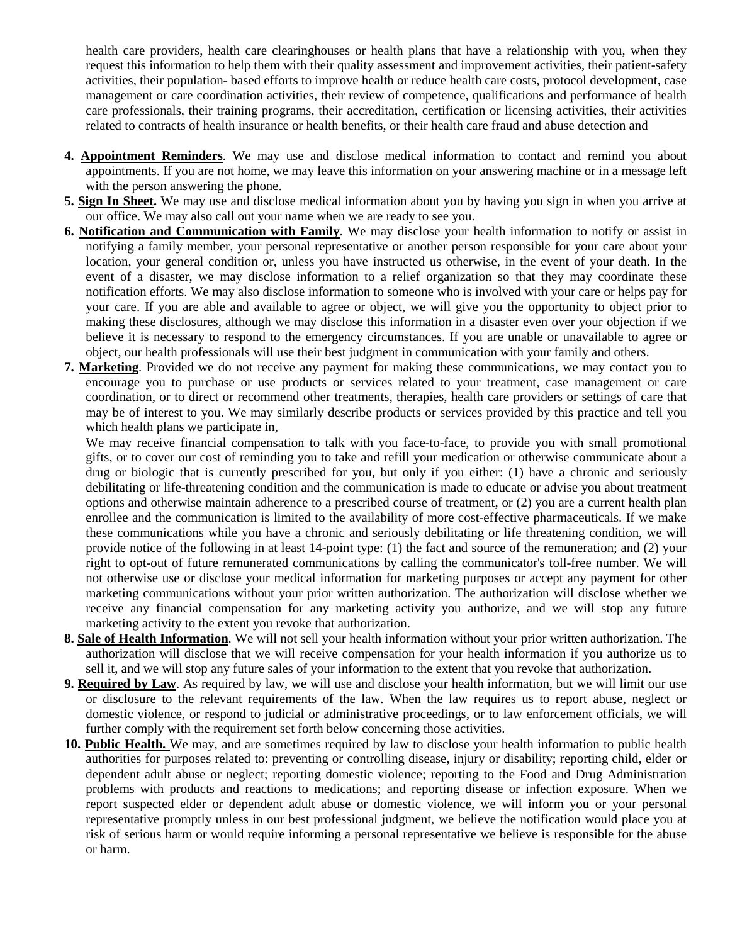health care providers, health care clearinghouses or health plans that have a relationship with you, when they request this information to help them with their quality assessment and improvement activities, their patient-safety activities, their population- based efforts to improve health or reduce health care costs, protocol development, case management or care coordination activities, their review of competence, qualifications and performance of health care professionals, their training programs, their accreditation, certification or licensing activities, their activities related to contracts of health insurance or health benefits, or their health care fraud and abuse detection and

- **4. Appointment Reminders**. We may use and disclose medical information to contact and remind you about appointments. If you are not home, we may leave this information on your answering machine or in a message left with the person answering the phone.
- **5. Sign In Sheet.** We may use and disclose medical information about you by having you sign in when you arrive at our office. We may also call out your name when we are ready to see you.
- **6. Notification and Communication with Family**. We may disclose your health information to notify or assist in notifying a family member, your personal representative or another person responsible for your care about your location, your general condition or, unless you have instructed us otherwise, in the event of your death. In the event of a disaster, we may disclose information to a relief organization so that they may coordinate these notification efforts. We may also disclose information to someone who is involved with your care or helps pay for your care. If you are able and available to agree or object, we will give you the opportunity to object prior to making these disclosures, although we may disclose this information in a disaster even over your objection if we believe it is necessary to respond to the emergency circumstances. If you are unable or unavailable to agree or object, our health professionals will use their best judgment in communication with your family and others.
- **7. Marketing**. Provided we do not receive any payment for making these communications, we may contact you to encourage you to purchase or use products or services related to your treatment, case management or care coordination, or to direct or recommend other treatments, therapies, health care providers or settings of care that may be of interest to you. We may similarly describe products or services provided by this practice and tell you which health plans we participate in.

We may receive financial compensation to talk with you face-to-face, to provide you with small promotional gifts, or to cover our cost of reminding you to take and refill your medication or otherwise communicate about a drug or biologic that is currently prescribed for you, but only if you either: (1) have a chronic and seriously debilitating or life-threatening condition and the communication is made to educate or advise you about treatment options and otherwise maintain adherence to a prescribed course of treatment, or (2) you are a current health plan enrollee and the communication is limited to the availability of more cost-effective pharmaceuticals. If we make these communications while you have a chronic and seriously debilitating or life threatening condition, we will provide notice of the following in at least 14-point type: (1) the fact and source of the remuneration; and (2) your right to opt-out of future remunerated communications by calling the communicator's toll-free number. We will not otherwise use or disclose your medical information for marketing purposes or accept any payment for other marketing communications without your prior written authorization. The authorization will disclose whether we receive any financial compensation for any marketing activity you authorize, and we will stop any future marketing activity to the extent you revoke that authorization.

- **8. Sale of Health Information**. We will not sell your health information without your prior written authorization. The authorization will disclose that we will receive compensation for your health information if you authorize us to sell it, and we will stop any future sales of your information to the extent that you revoke that authorization.
- **9. Required by Law**. As required by law, we will use and disclose your health information, but we will limit our use or disclosure to the relevant requirements of the law. When the law requires us to report abuse, neglect or domestic violence, or respond to judicial or administrative proceedings, or to law enforcement officials, we will further comply with the requirement set forth below concerning those activities.
- **10. Public Health.** We may, and are sometimes required by law to disclose your health information to public health authorities for purposes related to: preventing or controlling disease, injury or disability; reporting child, elder or dependent adult abuse or neglect; reporting domestic violence; reporting to the Food and Drug Administration problems with products and reactions to medications; and reporting disease or infection exposure. When we report suspected elder or dependent adult abuse or domestic violence, we will inform you or your personal representative promptly unless in our best professional judgment, we believe the notification would place you at risk of serious harm or would require informing a personal representative we believe is responsible for the abuse or harm.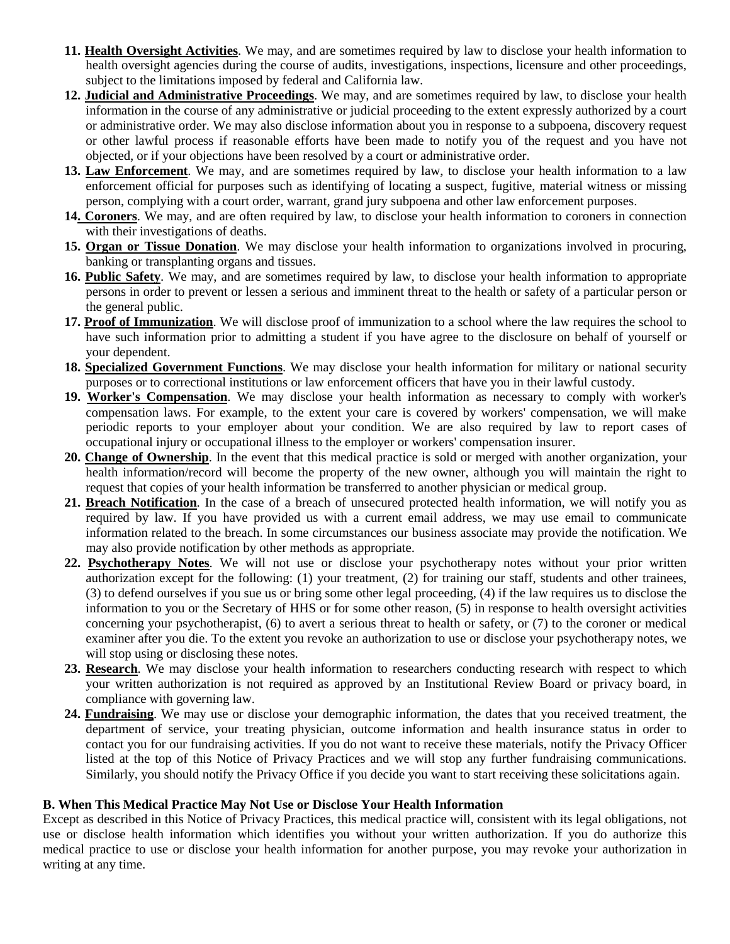- **11. Health Oversight Activities**. We may, and are sometimes required by law to disclose your health information to health oversight agencies during the course of audits, investigations, inspections, licensure and other proceedings, subject to the limitations imposed by federal and California law.
- **12. Judicial and Administrative Proceedings**. We may, and are sometimes required by law, to disclose your health information in the course of any administrative or judicial proceeding to the extent expressly authorized by a court or administrative order. We may also disclose information about you in response to a subpoena, discovery request or other lawful process if reasonable efforts have been made to notify you of the request and you have not objected, or if your objections have been resolved by a court or administrative order.
- **13. Law Enforcement**. We may, and are sometimes required by law, to disclose your health information to a law enforcement official for purposes such as identifying of locating a suspect, fugitive, material witness or missing person, complying with a court order, warrant, grand jury subpoena and other law enforcement purposes.
- **14. Coroners**. We may, and are often required by law, to disclose your health information to coroners in connection with their investigations of deaths.
- **15. Organ or Tissue Donation**. We may disclose your health information to organizations involved in procuring, banking or transplanting organs and tissues.
- **16. Public Safety**. We may, and are sometimes required by law, to disclose your health information to appropriate persons in order to prevent or lessen a serious and imminent threat to the health or safety of a particular person or the general public.
- **17. Proof of Immunization**. We will disclose proof of immunization to a school where the law requires the school to have such information prior to admitting a student if you have agree to the disclosure on behalf of yourself or your dependent.
- **18. Specialized Government Functions**. We may disclose your health information for military or national security purposes or to correctional institutions or law enforcement officers that have you in their lawful custody.
- **19. Worker's Compensation**. We may disclose your health information as necessary to comply with worker's compensation laws. For example, to the extent your care is covered by workers' compensation, we will make periodic reports to your employer about your condition. We are also required by law to report cases of occupational injury or occupational illness to the employer or workers' compensation insurer.
- **20. Change of Ownership**. In the event that this medical practice is sold or merged with another organization, your health information/record will become the property of the new owner, although you will maintain the right to request that copies of your health information be transferred to another physician or medical group.
- **21. Breach Notification**. In the case of a breach of unsecured protected health information, we will notify you as required by law. If you have provided us with a current email address, we may use email to communicate information related to the breach. In some circumstances our business associate may provide the notification. We may also provide notification by other methods as appropriate.
- **22. Psychotherapy Notes**. We will not use or disclose your psychotherapy notes without your prior written authorization except for the following: (1) your treatment, (2) for training our staff, students and other trainees, (3) to defend ourselves if you sue us or bring some other legal proceeding, (4) if the law requires us to disclose the information to you or the Secretary of HHS or for some other reason, (5) in response to health oversight activities concerning your psychotherapist, (6) to avert a serious threat to health or safety, or (7) to the coroner or medical examiner after you die. To the extent you revoke an authorization to use or disclose your psychotherapy notes, we will stop using or disclosing these notes.
- **23. Research**. We may disclose your health information to researchers conducting research with respect to which your written authorization is not required as approved by an Institutional Review Board or privacy board, in compliance with governing law.
- **24. Fundraising**. We may use or disclose your demographic information, the dates that you received treatment, the department of service, your treating physician, outcome information and health insurance status in order to contact you for our fundraising activities. If you do not want to receive these materials, notify the Privacy Officer listed at the top of this Notice of Privacy Practices and we will stop any further fundraising communications. Similarly, you should notify the Privacy Office if you decide you want to start receiving these solicitations again.

## **B. When This Medical Practice May Not Use or Disclose Your Health Information**

Except as described in this Notice of Privacy Practices, this medical practice will, consistent with its legal obligations, not use or disclose health information which identifies you without your written authorization. If you do authorize this medical practice to use or disclose your health information for another purpose, you may revoke your authorization in writing at any time.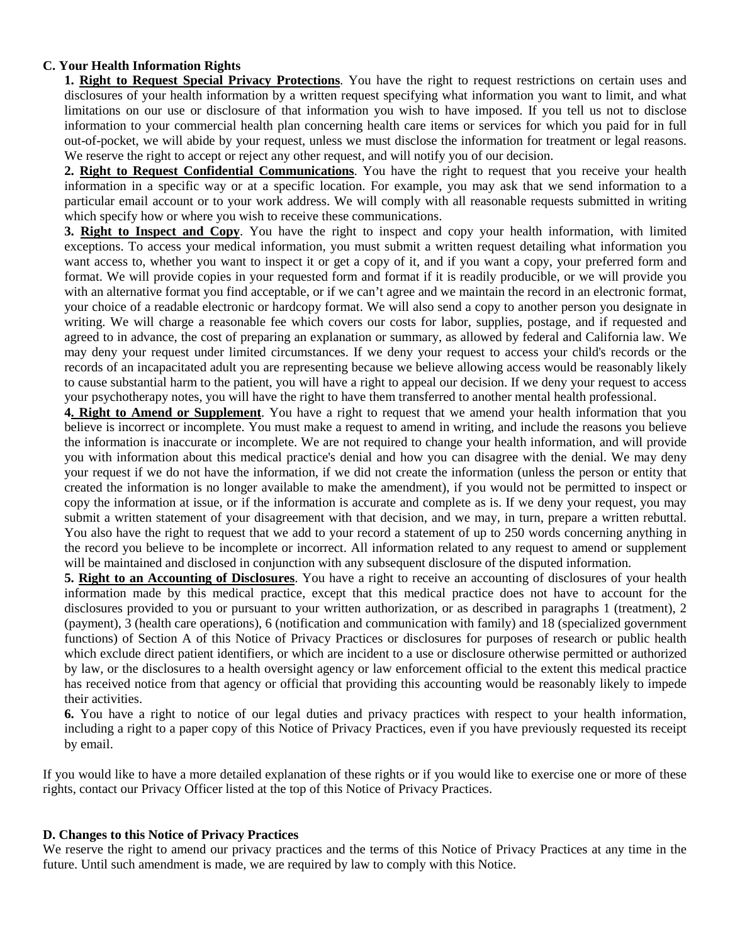## **C. Your Health Information Rights**

**1. Right to Request Special Privacy Protections**. You have the right to request restrictions on certain uses and disclosures of your health information by a written request specifying what information you want to limit, and what limitations on our use or disclosure of that information you wish to have imposed. If you tell us not to disclose information to your commercial health plan concerning health care items or services for which you paid for in full out-of-pocket, we will abide by your request, unless we must disclose the information for treatment or legal reasons. We reserve the right to accept or reject any other request, and will notify you of our decision.

**2. Right to Request Confidential Communications**. You have the right to request that you receive your health information in a specific way or at a specific location. For example, you may ask that we send information to a particular email account or to your work address. We will comply with all reasonable requests submitted in writing which specify how or where you wish to receive these communications.

**3. Right to Inspect and Copy**. You have the right to inspect and copy your health information, with limited exceptions. To access your medical information, you must submit a written request detailing what information you want access to, whether you want to inspect it or get a copy of it, and if you want a copy, your preferred form and format. We will provide copies in your requested form and format if it is readily producible, or we will provide you with an alternative format you find acceptable, or if we can't agree and we maintain the record in an electronic format, your choice of a readable electronic or hardcopy format. We will also send a copy to another person you designate in writing. We will charge a reasonable fee which covers our costs for labor, supplies, postage, and if requested and agreed to in advance, the cost of preparing an explanation or summary, as allowed by federal and California law. We may deny your request under limited circumstances. If we deny your request to access your child's records or the records of an incapacitated adult you are representing because we believe allowing access would be reasonably likely to cause substantial harm to the patient, you will have a right to appeal our decision. If we deny your request to access your psychotherapy notes, you will have the right to have them transferred to another mental health professional.

**4. Right to Amend or Supplement**. You have a right to request that we amend your health information that you believe is incorrect or incomplete. You must make a request to amend in writing, and include the reasons you believe the information is inaccurate or incomplete. We are not required to change your health information, and will provide you with information about this medical practice's denial and how you can disagree with the denial. We may deny your request if we do not have the information, if we did not create the information (unless the person or entity that created the information is no longer available to make the amendment), if you would not be permitted to inspect or copy the information at issue, or if the information is accurate and complete as is. If we deny your request, you may submit a written statement of your disagreement with that decision, and we may, in turn, prepare a written rebuttal. You also have the right to request that we add to your record a statement of up to 250 words concerning anything in the record you believe to be incomplete or incorrect. All information related to any request to amend or supplement will be maintained and disclosed in conjunction with any subsequent disclosure of the disputed information.

**5. Right to an Accounting of Disclosures**. You have a right to receive an accounting of disclosures of your health information made by this medical practice, except that this medical practice does not have to account for the disclosures provided to you or pursuant to your written authorization, or as described in paragraphs 1 (treatment), 2 (payment), 3 (health care operations), 6 (notification and communication with family) and 18 (specialized government functions) of Section A of this Notice of Privacy Practices or disclosures for purposes of research or public health which exclude direct patient identifiers, or which are incident to a use or disclosure otherwise permitted or authorized by law, or the disclosures to a health oversight agency or law enforcement official to the extent this medical practice has received notice from that agency or official that providing this accounting would be reasonably likely to impede their activities.

**6.** You have a right to notice of our legal duties and privacy practices with respect to your health information, including a right to a paper copy of this Notice of Privacy Practices, even if you have previously requested its receipt by email.

If you would like to have a more detailed explanation of these rights or if you would like to exercise one or more of these rights, contact our Privacy Officer listed at the top of this Notice of Privacy Practices.

## **D. Changes to this Notice of Privacy Practices**

We reserve the right to amend our privacy practices and the terms of this Notice of Privacy Practices at any time in the future. Until such amendment is made, we are required by law to comply with this Notice.